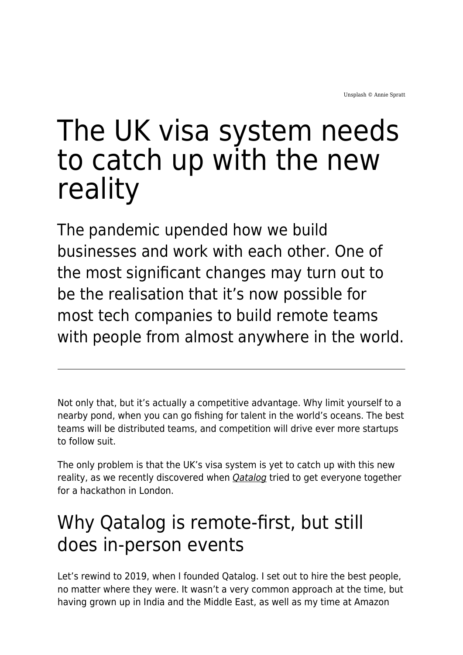# The UK visa system needs to catch up with the new reality

The pandemic upended how we build businesses and work with each other. One of the most significant changes may turn out to be the realisation that it's now possible for most tech companies to build remote teams with people from almost anywhere in the world.

Not only that, but it's actually a competitive advantage. Why limit yourself to a nearby pond, when you can go fishing for talent in the world's oceans. The best teams will be distributed teams, and competition will drive ever more startups to follow suit.

The only problem is that the UK's visa system is yet to catch up with this new reality, as we recently discovered when *[Qatalog](https://qatalog.com/)* tried to get everyone together for a hackathon in London.

### Why Qatalog is remote-first, but still does in-person events

Let's rewind to 2019, when I founded Qatalog. I set out to hire the best people, no matter where they were. It wasn't a very common approach at the time, but having grown up in India and the Middle East, as well as my time at Amazon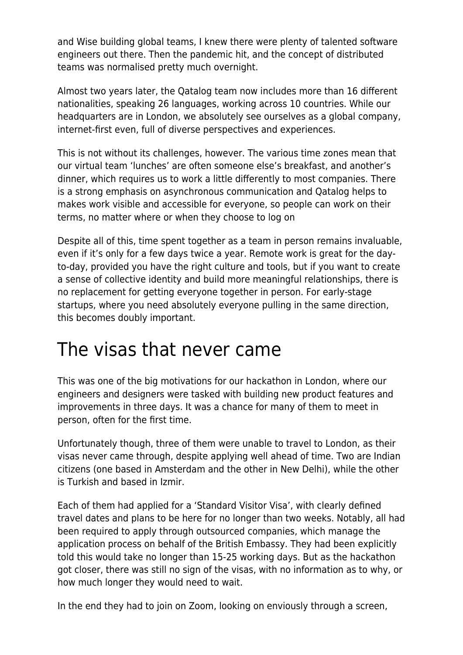and Wise building global teams, I knew there were plenty of talented software engineers out there. Then the pandemic hit, and the concept of distributed teams was normalised pretty much overnight.

Almost two years later, the Qatalog team now includes more than 16 different nationalities, speaking 26 languages, working across 10 countries. While our headquarters are in London, we absolutely see ourselves as a global company, internet-first even, full of diverse perspectives and experiences.

This is not without its challenges, however. The various time zones mean that our virtual team 'lunches' are often someone else's breakfast, and another's dinner, which requires us to work a little differently to most companies. There is a strong emphasis on asynchronous communication and Qatalog helps to makes work visible and accessible for everyone, so people can work on their terms, no matter where or when they choose to log on

Despite all of this, time spent together as a team in person remains invaluable, even if it's only for a few days twice a year. Remote work is great for the dayto-day, provided you have the right culture and tools, but if you want to create a sense of collective identity and build more meaningful relationships, there is no replacement for getting everyone together in person. For early-stage startups, where you need absolutely everyone pulling in the same direction, this becomes doubly important.

#### The visas that never came

This was one of the big motivations for our hackathon in London, where our engineers and designers were tasked with building new product features and improvements in three days. It was a chance for many of them to meet in person, often for the first time.

Unfortunately though, three of them were unable to travel to London, as their visas never came through, despite applying well ahead of time. Two are Indian citizens (one based in Amsterdam and the other in New Delhi), while the other is Turkish and based in Izmir.

Each of them had applied for a 'Standard Visitor Visa', with clearly defined travel dates and plans to be here for no longer than two weeks. Notably, all had been required to apply through outsourced companies, which manage the application process on behalf of the British Embassy. They had been explicitly told this would take no longer than 15-25 working days. But as the hackathon got closer, there was still no sign of the visas, with no information as to why, or how much longer they would need to wait.

In the end they had to join on Zoom, looking on enviously through a screen,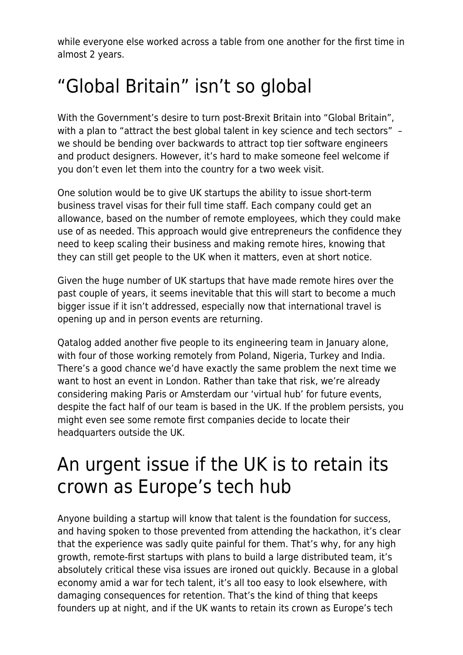while everyone else worked across a table from one another for the first time in almost 2 years.

## "Global Britain" isn't so global

With the Government's desire to turn post-Brexit Britain into "Global Britain", with a plan to "attract the best global talent in key science and tech sectors" we should be bending over backwards to attract top tier software engineers and product designers. However, it's hard to make someone feel welcome if you don't even let them into the country for a two week visit.

One solution would be to give UK startups the ability to issue short-term business travel visas for their full time staff. Each company could get an allowance, based on the number of remote employees, which they could make use of as needed. This approach would give entrepreneurs the confidence they need to keep scaling their business and making remote hires, knowing that they can still get people to the UK when it matters, even at short notice.

Given the huge number of UK startups that have made remote hires over the past couple of years, it seems inevitable that this will start to become a much bigger issue if it isn't addressed, especially now that international travel is opening up and in person events are returning.

Qatalog added another five people to its engineering team in January alone, with four of those working remotely from Poland, Nigeria, Turkey and India. There's a good chance we'd have exactly the same problem the next time we want to host an event in London. Rather than take that risk, we're already considering making Paris or Amsterdam our 'virtual hub' for future events, despite the fact half of our team is based in the UK. If the problem persists, you might even see some remote first companies decide to locate their headquarters outside the UK.

#### An urgent issue if the UK is to retain its crown as Europe's tech hub

Anyone building a startup will know that talent is the foundation for success, and having spoken to those prevented from attending the hackathon, it's clear that the experience was sadly quite painful for them. That's why, for any high growth, remote-first startups with plans to build a large distributed team, it's absolutely critical these visa issues are ironed out quickly. Because in a global economy amid a war for tech talent, it's all too easy to look elsewhere, with damaging consequences for retention. That's the kind of thing that keeps founders up at night, and if the UK wants to retain its crown as Europe's tech